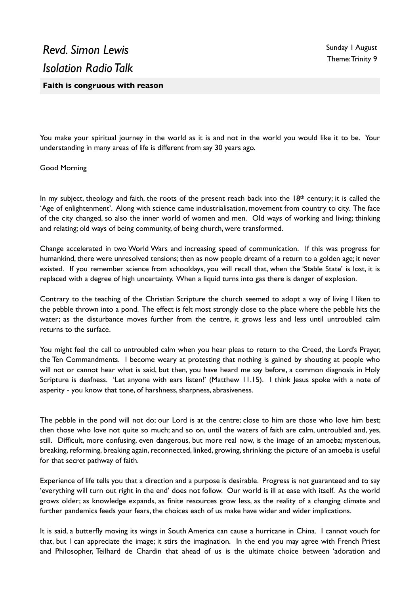You make your spiritual journey in the world as it is and not in the world you would like it to be. Your understanding in many areas of life is different from say 30 years ago.

Good Morning

In my subject, theology and faith, the roots of the present reach back into the 18<sup>th</sup> century; it is called the 'Age of enlightenment'. Along with science came industrialisation, movement from country to city. The face of the city changed, so also the inner world of women and men. Old ways of working and living; thinking and relating; old ways of being community, of being church, were transformed.

Change accelerated in two World Wars and increasing speed of communication. If this was progress for humankind, there were unresolved tensions; then as now people dreamt of a return to a golden age; it never existed. If you remember science from schooldays, you will recall that, when the 'Stable State' is lost, it is replaced with a degree of high uncertainty. When a liquid turns into gas there is danger of explosion.

Contrary to the teaching of the Christian Scripture the church seemed to adopt a way of living I liken to the pebble thrown into a pond. The effect is felt most strongly close to the place where the pebble hits the water; as the disturbance moves further from the centre, it grows less and less until untroubled calm returns to the surface.

You might feel the call to untroubled calm when you hear pleas to return to the Creed, the Lord's Prayer, the Ten Commandments. I become weary at protesting that nothing is gained by shouting at people who will not or cannot hear what is said, but then, you have heard me say before, a common diagnosis in Holy Scripture is deafness. 'Let anyone with ears listen!' (Matthew 11.15). I think Jesus spoke with a note of asperity - you know that tone, of harshness, sharpness, abrasiveness.

The pebble in the pond will not do; our Lord is at the centre; close to him are those who love him best; then those who love not quite so much; and so on, until the waters of faith are calm, untroubled and, yes, still. Difficult, more confusing, even dangerous, but more real now, is the image of an amoeba; mysterious, breaking, reforming, breaking again, reconnected, linked, growing, shrinking: the picture of an amoeba is useful for that secret pathway of faith.

Experience of life tells you that a direction and a purpose is desirable. Progress is not guaranteed and to say 'everything will turn out right in the end' does not follow. Our world is ill at ease with itself. As the world grows older; as knowledge expands, as finite resources grow less, as the reality of a changing climate and further pandemics feeds your fears, the choices each of us make have wider and wider implications.

It is said, a butterfly moving its wings in South America can cause a hurricane in China. I cannot vouch for that, but I can appreciate the image; it stirs the imagination. In the end you may agree with French Priest and Philosopher, Teilhard de Chardin that ahead of us is the ultimate choice between 'adoration and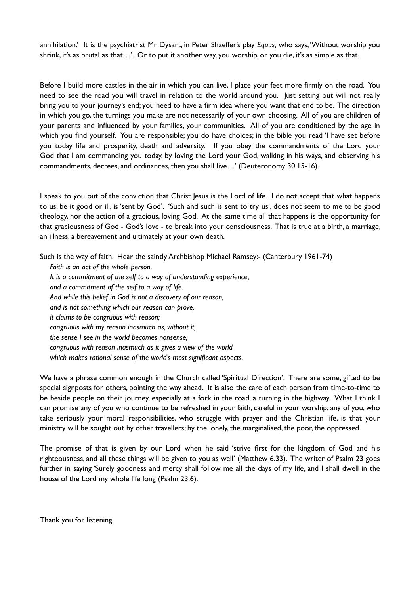annihilation.' It is the psychiatrist Mr Dysart, in Peter Shaeffer's play *Equus,* who says, 'Without worship you shrink, it's as brutal as that...'. Or to put it another way, you worship, or you die, it's as simple as that.

Before I build more castles in the air in which you can live, I place your feet more firmly on the road. You need to see the road you will travel in relation to the world around you. Just setting out will not really bring you to your journey's end; you need to have a firm idea where you want that end to be. The direction in which you go, the turnings you make are not necessarily of your own choosing. All of you are children of your parents and influenced by your families, your communities. All of you are conditioned by the age in which you find yourself. You are responsible; you do have choices; in the bible you read 'I have set before you today life and prosperity, death and adversity. If you obey the commandments of the Lord your God that I am commanding you today, by loving the Lord your God, walking in his ways, and observing his commandments, decrees, and ordinances, then you shall live…' (Deuteronomy 30.15-16).

I speak to you out of the conviction that Christ Jesus is the Lord of life. I do not accept that what happens to us, be it good or ill, is 'sent by God'. 'Such and such is sent to try us', does not seem to me to be good theology, nor the action of a gracious, loving God. At the same time all that happens is the opportunity for that graciousness of God - God's love - to break into your consciousness. That is true at a birth, a marriage, an illness, a bereavement and ultimately at your own death.

Such is the way of faith. Hear the saintly Archbishop Michael Ramsey:- (Canterbury 1961-74)

*Faith is an act of the whole person. It is a commitment of the self to a way of understanding experience, and a commitment of the self to a way of life. And while this belief in God is not a discovery of our reason, and is not something which our reason can prove, it claims to be congruous with reason; congruous with my reason inasmuch as, without it, the sense I see in the world becomes nonsense; congruous with reason inasmuch as it gives a view of the world which makes rational sense of the world's most significant aspects.* 

We have a phrase common enough in the Church called 'Spiritual Direction'. There are some, gifted to be special signposts for others, pointing the way ahead. It is also the care of each person from time-to-time to be beside people on their journey, especially at a fork in the road, a turning in the highway. What I think I can promise any of you who continue to be refreshed in your faith, careful in your worship; any of you, who take seriously your moral responsibilities, who struggle with prayer and the Christian life, is that your ministry will be sought out by other travellers; by the lonely, the marginalised, the poor, the oppressed.

The promise of that is given by our Lord when he said 'strive first for the kingdom of God and his righteousness, and all these things will be given to you as well' (Matthew 6.33). The writer of Psalm 23 goes further in saying 'Surely goodness and mercy shall follow me all the days of my life, and I shall dwell in the house of the Lord my whole life long (Psalm 23.6).

Thank you for listening